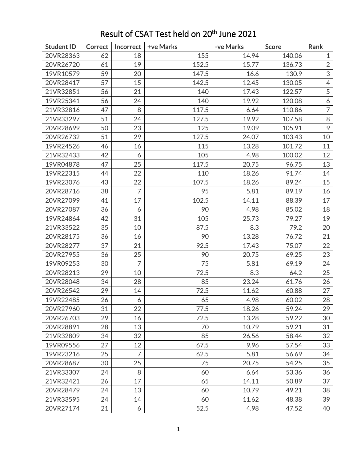| <b>Student ID</b> | <b>Correct</b> | <b>Incorrect</b> | +ve Marks | -ve Marks | <b>Score</b> | Rank           |
|-------------------|----------------|------------------|-----------|-----------|--------------|----------------|
| 20VR28363         | 62             | 18               | 155       | 14.94     | 140.06       | $\mathbf{1}$   |
| 20VR26720         | 61             | 19               | 152.5     | 15.77     | 136.73       | $\overline{2}$ |
| 19VR10579         | 59             | 20               | 147.5     | 16.6      | 130.9        | 3              |
| 20VR28417         | 57             | 15               | 142.5     | 12.45     | 130.05       | $\overline{4}$ |
| 21VR32851         | 56             | 21               | 140       | 17.43     | 122.57       | 5              |
| 19VR25341         | 56             | 24               | 140       | 19.92     | 120.08       | 6              |
| 21VR32816         | 47             | 8                | 117.5     | 6.64      | 110.86       | $\overline{7}$ |
| 21VR33297         | 51             | 24               | 127.5     | 19.92     | 107.58       | 8              |
| 20VR28699         | 50             | 23               | 125       | 19.09     | 105.91       | 9              |
| 20VR26732         | 51             | 29               | 127.5     | 24.07     | 103.43       | 10             |
| 19VR24526         | 46             | 16               | 115       | 13.28     | 101.72       | 11             |
| 21VR32433         | 42             | 6                | 105       | 4.98      | 100.02       | 12             |
| 19VR04878         | 47             | 25               | 117.5     | 20.75     | 96.75        | 13             |
| 19VR22315         | 44             | 22               | 110       | 18.26     | 91.74        | 14             |
| 19VR23076         | 43             | 22               | 107.5     | 18.26     | 89.24        | 15             |
| 20VR28716         | 38             | $\overline{7}$   | 95        | 5.81      | 89.19        | 16             |
| 20VR27099         | 41             | 17               | 102.5     | 14.11     | 88.39        | 17             |
| 20VR27087         | 36             | 6                | 90        | 4.98      | 85.02        | 18             |
| 19VR24864         | 42             | 31               | 105       | 25.73     | 79.27        | 19             |
| 21VR33522         | 35             | 10               | 87.5      | 8.3       | 79.2         | 20             |
| 20VR28175         | 36             | 16               | 90        | 13.28     | 76.72        | 21             |
| 20VR28277         | 37             | 21               | 92.5      | 17.43     | 75.07        | 22             |
| 20VR27955         | 36             | 25               | 90        | 20.75     | 69.25        | 23             |
| 19VR09253         | 30             | $\overline{7}$   | 75        | 5.81      | 69.19        | 24             |
| 20VR28213         | 29             | 10               | 72.5      | 8.3       | 64.2         | 25             |
| 20VR28048         | 34             | 28               | 85        | 23.24     | 61.76        | 26             |
| 20VR26542         | 29             | 14               | 72.5      | 11.62     | 60.88        | 27             |
| 19VR22485         | 26             | 6                | 65        | 4.98      | 60.02        | 28             |
| 20VR27960         | 31             | 22               | 77.5      | 18.26     | 59.24        | 29             |
| 20VR26703         | 29             | 16               | 72.5      | 13.28     | 59.22        | 30             |
| 20VR28891         | 28             | 13               | 70        | 10.79     | 59.21        | 31             |
| 21VR32809         | 34             | 32               | 85        | 26.56     | 58.44        | 32             |
| 19VR09556         | 27             | 12               | 67.5      | 9.96      | 57.54        | 33             |
| 19VR23216         | 25             | 7                | 62.5      | 5.81      | 56.69        | 34             |
| 20VR28687         | 30             | 25               | 75        | 20.75     | 54.25        | 35             |
| 21VR33307         | 24             | 8                | 60        | 6.64      | 53.36        | 36             |
| 21VR32421         | 26             | 17               | 65        | 14.11     | 50.89        | 37             |
| 20VR28479         | 24             | 13               | 60        | 10.79     | 49.21        | 38             |
| 21VR33595         | 24             | 14               | 60        | 11.62     | 48.38        | 39             |
| 20VR27174         | 21             | 6                | 52.5      | 4.98      | 47.52        | 40             |

## Result of CSAT Test held on 20<sup>th</sup> June 2021